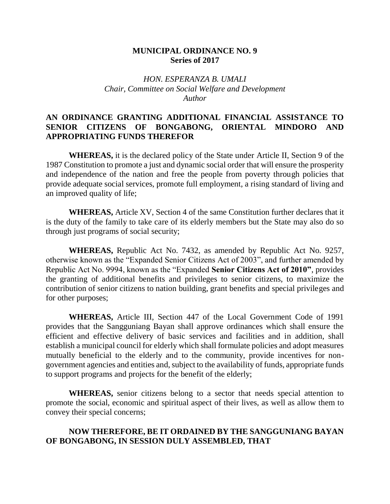## **MUNICIPAL ORDINANCE NO. 9 Series of 2017**

## *HON. ESPERANZA B. UMALI Chair, Committee on Social Welfare and Development Author*

## **AN ORDINANCE GRANTING ADDITIONAL FINANCIAL ASSISTANCE TO SENIOR CITIZENS OF BONGABONG, ORIENTAL MINDORO AND APPROPRIATING FUNDS THEREFOR**

**WHEREAS,** it is the declared policy of the State under Article II, Section 9 of the 1987 Constitution to promote a just and dynamic social order that will ensure the prosperity and independence of the nation and free the people from poverty through policies that provide adequate social services, promote full employment, a rising standard of living and an improved quality of life;

**WHEREAS,** Article XV, Section 4 of the same Constitution further declares that it is the duty of the family to take care of its elderly members but the State may also do so through just programs of social security;

**WHEREAS,** Republic Act No. 7432, as amended by Republic Act No. 9257, otherwise known as the "Expanded Senior Citizens Act of 2003", and further amended by Republic Act No. 9994, known as the "Expanded **Senior Citizens Act of 2010"**, provides the granting of additional benefits and privileges to senior citizens, to maximize the contribution of senior citizens to nation building, grant benefits and special privileges and for other purposes;

**WHEREAS,** Article III, Section 447 of the Local Government Code of 1991 provides that the Sangguniang Bayan shall approve ordinances which shall ensure the efficient and effective delivery of basic services and facilities and in addition, shall establish a municipal council for elderly which shall formulate policies and adopt measures mutually beneficial to the elderly and to the community, provide incentives for nongovernment agencies and entities and, subject to the availability of funds, appropriate funds to support programs and projects for the benefit of the elderly;

**WHEREAS,** senior citizens belong to a sector that needs special attention to promote the social, economic and spiritual aspect of their lives, as well as allow them to convey their special concerns;

## **NOW THEREFORE, BE IT ORDAINED BY THE SANGGUNIANG BAYAN OF BONGABONG, IN SESSION DULY ASSEMBLED, THAT**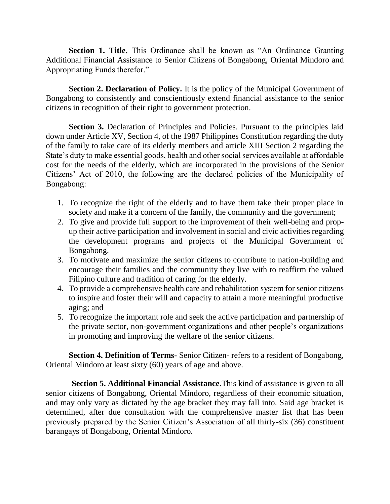**Section 1. Title.** This Ordinance shall be known as "An Ordinance Granting Additional Financial Assistance to Senior Citizens of Bongabong, Oriental Mindoro and Appropriating Funds therefor."

**Section 2. Declaration of Policy.** It is the policy of the Municipal Government of Bongabong to consistently and conscientiously extend financial assistance to the senior citizens in recognition of their right to government protection.

**Section 3.** Declaration of Principles and Policies. Pursuant to the principles laid down under Article XV, Section 4, of the 1987 Philippines Constitution regarding the duty of the family to take care of its elderly members and article XIII Section 2 regarding the State's duty to make essential goods, health and other social services available at affordable cost for the needs of the elderly, which are incorporated in the provisions of the Senior Citizens' Act of 2010, the following are the declared policies of the Municipality of Bongabong:

- 1. To recognize the right of the elderly and to have them take their proper place in society and make it a concern of the family, the community and the government;
- 2. To give and provide full support to the improvement of their well-being and propup their active participation and involvement in social and civic activities regarding the development programs and projects of the Municipal Government of Bongabong.
- 3. To motivate and maximize the senior citizens to contribute to nation-building and encourage their families and the community they live with to reaffirm the valued Filipino culture and tradition of caring for the elderly.
- 4. To provide a comprehensive health care and rehabilitation system for senior citizens to inspire and foster their will and capacity to attain a more meaningful productive aging; and
- 5. To recognize the important role and seek the active participation and partnership of the private sector, non-government organizations and other people's organizations in promoting and improving the welfare of the senior citizens.

**Section 4. Definition of Terms-** Senior Citizen- refers to a resident of Bongabong, Oriental Mindoro at least sixty (60) years of age and above.

**Section 5. Additional Financial Assistance.**This kind of assistance is given to all senior citizens of Bongabong, Oriental Mindoro, regardless of their economic situation, and may only vary as dictated by the age bracket they may fall into. Said age bracket is determined, after due consultation with the comprehensive master list that has been previously prepared by the Senior Citizen's Association of all thirty-six (36) constituent barangays of Bongabong, Oriental Mindoro.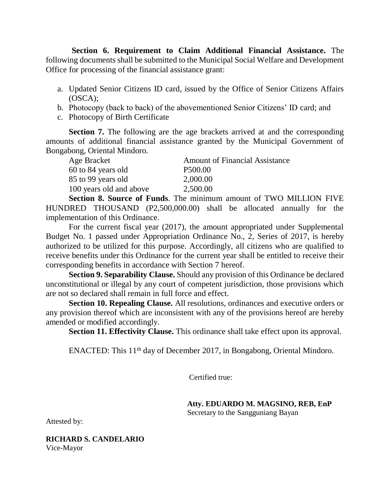**Section 6. Requirement to Claim Additional Financial Assistance.** The following documents shall be submitted to the Municipal Social Welfare and Development Office for processing of the financial assistance grant:

- a. Updated Senior Citizens ID card, issued by the Office of Senior Citizens Affairs (OSCA);
- b. Photocopy (back to back) of the abovementioned Senior Citizens' ID card; and
- c. Photocopy of Birth Certificate

**Section 7.** The following are the age brackets arrived at and the corresponding amounts of additional financial assistance granted by the Municipal Government of Bongabong, Oriental Mindoro.

| Age Bracket             | <b>Amount of Financial Assistance</b> |
|-------------------------|---------------------------------------|
| 60 to 84 years old      | P <sub>500.00</sub>                   |
| 85 to 99 years old      | 2,000.00                              |
| 100 years old and above | 2,500.00                              |

**Section 8. Source of Funds**. The minimum amount of TWO MILLION FIVE HUNDRED THOUSAND (P2,500,000.00) shall be allocated annually for the implementation of this Ordinance.

For the current fiscal year (2017), the amount appropriated under Supplemental Budget No. 1 passed under Appropriation Ordinance No., 2, Series of 2017, is hereby authorized to be utilized for this purpose. Accordingly, all citizens who are qualified to receive benefits under this Ordinance for the current year shall be entitled to receive their corresponding benefits in accordance with Section 7 hereof.

**Section 9. Separability Clause.** Should any provision of this Ordinance be declared unconstitutional or illegal by any court of competent jurisdiction, those provisions which are not so declared shall remain in full force and effect.

**Section 10. Repealing Clause.** All resolutions, ordinances and executive orders or any provision thereof which are inconsistent with any of the provisions hereof are hereby amended or modified accordingly.

**Section 11. Effectivity Clause.** This ordinance shall take effect upon its approval.

ENACTED: This 11<sup>th</sup> day of December 2017, in Bongabong, Oriental Mindoro.

Certified true:

 **Atty. EDUARDO M. MAGSINO, REB, EnP** Secretary to the Sangguniang Bayan

Attested by:

**RICHARD S. CANDELARIO** Vice-Mayor